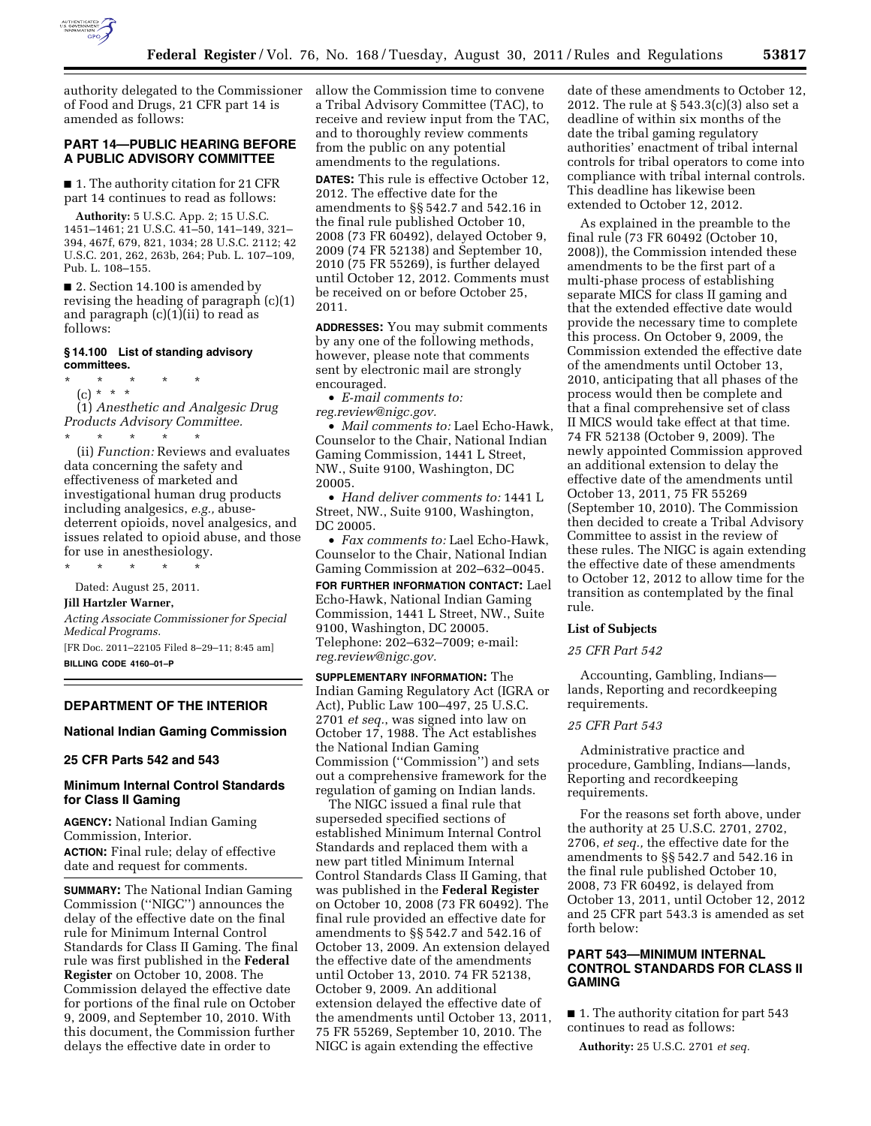

authority delegated to the Commissioner allow the Commission time to convene of Food and Drugs, 21 CFR part 14 is amended as follows:

## **PART 14—PUBLIC HEARING BEFORE A PUBLIC ADVISORY COMMITTEE**

■ 1. The authority citation for 21 CFR part 14 continues to read as follows:

**Authority:** 5 U.S.C. App. 2; 15 U.S.C. 1451–1461; 21 U.S.C. 41–50, 141–149, 321– 394, 467f, 679, 821, 1034; 28 U.S.C. 2112; 42 U.S.C. 201, 262, 263b, 264; Pub. L. 107–109, Pub. L. 108–155.

■ 2. Section 14.100 is amended by revising the heading of paragraph (c)(1) and paragraph (c)(1)(ii) to read as follows:

## **§ 14.100 List of standing advisory committees.**

\* \* \* \* \* (c) \* \* \* (1) *Anesthetic and Analgesic Drug Products Advisory Committee.* 

\* \* \* \* \* (ii) *Function:* Reviews and evaluates data concerning the safety and effectiveness of marketed and investigational human drug products including analgesics, *e.g.,* abusedeterrent opioids, novel analgesics, and issues related to opioid abuse, and those for use in anesthesiology.

\* \* \* \* \* Dated: August 25, 2011.

**Jill Hartzler Warner,** 

*Acting Associate Commissioner for Special Medical Programs.* 

[FR Doc. 2011–22105 Filed 8–29–11; 8:45 am] **BILLING CODE 4160–01–P** 

## **DEPARTMENT OF THE INTERIOR**

## **National Indian Gaming Commission**

### **25 CFR Parts 542 and 543**

# **Minimum Internal Control Standards for Class II Gaming**

**AGENCY:** National Indian Gaming Commission, Interior. **ACTION:** Final rule; delay of effective date and request for comments.

**SUMMARY:** The National Indian Gaming Commission (''NIGC'') announces the delay of the effective date on the final rule for Minimum Internal Control Standards for Class II Gaming. The final rule was first published in the **Federal Register** on October 10, 2008. The Commission delayed the effective date for portions of the final rule on October 9, 2009, and September 10, 2010. With this document, the Commission further delays the effective date in order to

a Tribal Advisory Committee (TAC), to receive and review input from the TAC, and to thoroughly review comments from the public on any potential amendments to the regulations.

**DATES:** This rule is effective October 12, 2012. The effective date for the amendments to §§ 542.7 and 542.16 in the final rule published October 10, 2008 (73 FR 60492), delayed October 9, 2009 (74 FR 52138) and September 10, 2010 (75 FR 55269), is further delayed until October 12, 2012. Comments must be received on or before October 25, 2011.

**ADDRESSES:** You may submit comments by any one of the following methods, however, please note that comments sent by electronic mail are strongly encouraged.

• *E-mail comments to: [reg.review@nigc.gov.](mailto:reg.review@nigc.gov)* 

• *Mail comments to:* Lael Echo-Hawk, Counselor to the Chair, National Indian Gaming Commission, 1441 L Street, NW., Suite 9100, Washington, DC 20005.

• *Hand deliver comments to:* 1441 L Street, NW., Suite 9100, Washington, DC 20005.

• *Fax comments to:* Lael Echo-Hawk, Counselor to the Chair, National Indian Gaming Commission at 202–632–0045.

**FOR FURTHER INFORMATION CONTACT:** Lael Echo-Hawk, National Indian Gaming Commission, 1441 L Street, NW., Suite 9100, Washington, DC 20005. Telephone: 202–632–7009; e-mail: *[reg.review@nigc.gov.](mailto:reg.review@nigc.gov)* 

**SUPPLEMENTARY INFORMATION:** The Indian Gaming Regulatory Act (IGRA or Act), Public Law 100–497, 25 U.S.C. 2701 *et seq.*, was signed into law on October 17, 1988. The Act establishes the National Indian Gaming Commission (''Commission'') and sets out a comprehensive framework for the regulation of gaming on Indian lands.

The NIGC issued a final rule that superseded specified sections of established Minimum Internal Control Standards and replaced them with a new part titled Minimum Internal Control Standards Class II Gaming, that was published in the **Federal Register**  on October 10, 2008 (73 FR 60492). The final rule provided an effective date for amendments to §§ 542.7 and 542.16 of October 13, 2009. An extension delayed the effective date of the amendments until October 13, 2010. 74 FR 52138, October 9, 2009. An additional extension delayed the effective date of the amendments until October 13, 2011, 75 FR 55269, September 10, 2010. The NIGC is again extending the effective

date of these amendments to October 12, 2012. The rule at § 543.3(c)(3) also set a deadline of within six months of the date the tribal gaming regulatory authorities' enactment of tribal internal controls for tribal operators to come into compliance with tribal internal controls. This deadline has likewise been extended to October 12, 2012.

As explained in the preamble to the final rule (73 FR 60492 (October 10, 2008)), the Commission intended these amendments to be the first part of a multi-phase process of establishing separate MICS for class II gaming and that the extended effective date would provide the necessary time to complete this process. On October 9, 2009, the Commission extended the effective date of the amendments until October 13, 2010, anticipating that all phases of the process would then be complete and that a final comprehensive set of class II MICS would take effect at that time. 74 FR 52138 (October 9, 2009). The newly appointed Commission approved an additional extension to delay the effective date of the amendments until October 13, 2011, 75 FR 55269 (September 10, 2010). The Commission then decided to create a Tribal Advisory Committee to assist in the review of these rules. The NIGC is again extending the effective date of these amendments to October 12, 2012 to allow time for the transition as contemplated by the final rule.

#### **List of Subjects**

#### *25 CFR Part 542*

Accounting, Gambling, Indians lands, Reporting and recordkeeping requirements.

### *25 CFR Part 543*

Administrative practice and procedure, Gambling, Indians—lands, Reporting and recordkeeping requirements.

For the reasons set forth above, under the authority at 25 U.S.C. 2701, 2702, 2706, *et seq.,* the effective date for the amendments to §§ 542.7 and 542.16 in the final rule published October 10, 2008, 73 FR 60492, is delayed from October 13, 2011, until October 12, 2012 and 25 CFR part 543.3 is amended as set forth below:

# **PART 543—MINIMUM INTERNAL CONTROL STANDARDS FOR CLASS II GAMING**

■ 1. The authority citation for part 543 continues to read as follows:

**Authority:** 25 U.S.C. 2701 *et seq.*